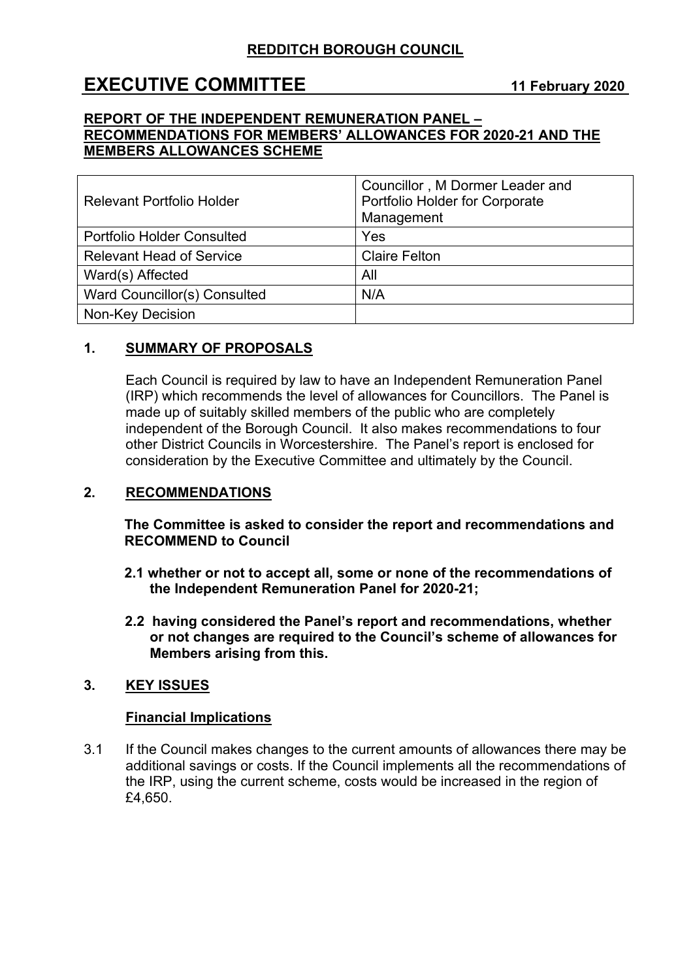# **EXECUTIVE COMMITTEE 11 February 2020**

#### **REPORT OF THE INDEPENDENT REMUNERATION PANEL – RECOMMENDATIONS FOR MEMBERS' ALLOWANCES FOR 2020-21 AND THE MEMBERS ALLOWANCES SCHEME**

| <b>Relevant Portfolio Holder</b>  | Councillor, M Dormer Leader and<br>Portfolio Holder for Corporate<br>Management |
|-----------------------------------|---------------------------------------------------------------------------------|
| <b>Portfolio Holder Consulted</b> | Yes                                                                             |
| <b>Relevant Head of Service</b>   | <b>Claire Felton</b>                                                            |
| Ward(s) Affected                  | All                                                                             |
| Ward Councillor(s) Consulted      | N/A                                                                             |
| <b>Non-Key Decision</b>           |                                                                                 |

# **1. SUMMARY OF PROPOSALS**

Each Council is required by law to have an Independent Remuneration Panel (IRP) which recommends the level of allowances for Councillors. The Panel is made up of suitably skilled members of the public who are completely independent of the Borough Council. It also makes recommendations to four other District Councils in Worcestershire. The Panel's report is enclosed for consideration by the Executive Committee and ultimately by the Council.

#### **2. RECOMMENDATIONS**

**The Committee is asked to consider the report and recommendations and RECOMMEND to Council**

- **2.1 whether or not to accept all, some or none of the recommendations of the Independent Remuneration Panel for 2020-21;**
- **2.2 having considered the Panel's report and recommendations, whether or not changes are required to the Council's scheme of allowances for Members arising from this.**

#### **3. KEY ISSUES**

#### **Financial Implications**

3.1 If the Council makes changes to the current amounts of allowances there may be additional savings or costs. If the Council implements all the recommendations of the IRP, using the current scheme, costs would be increased in the region of £4,650.